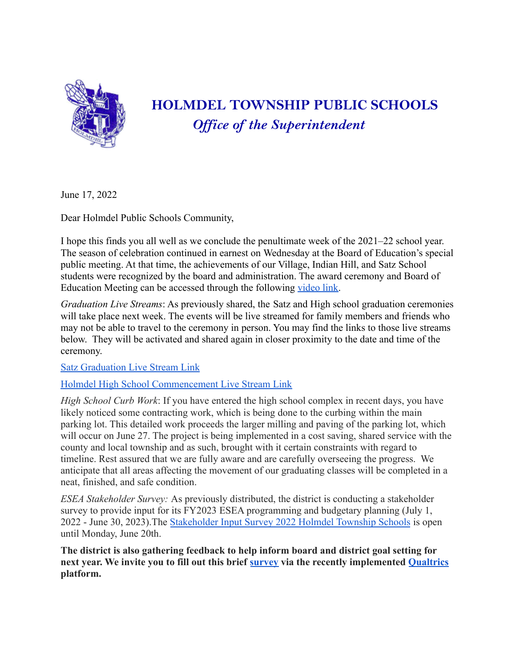

## **HOLMDEL TOWNSHIP PUBLIC SCHOOLS** *Of ice of the Superintendent*

June 17, 2022

Dear Holmdel Public Schools Community,

I hope this finds you all well as we conclude the penultimate week of the 2021–22 school year. The season of celebration continued in earnest on Wednesday at the Board of Education's special public meeting. At that time, the achievements of our Village, Indian Hill, and Satz School students were recognized by the board and administration. The award ceremony and Board of Education Meeting can be accessed through the following [video link.](https://drive.google.com/file/d/1Qox6al9B8h5Lh43u_OvwF2mfTeVEWZ5R/view?usp=drivesdk)

*Graduation Live Streams*: As previously shared, the Satz and High school graduation ceremonies will take place next week. The events will be live streamed for family members and friends who may not be able to travel to the ceremony in person. You may find the links to those live streams below. They will be activated and shared again in closer proximity to the date and time of the ceremony.

[Satz Graduation Live Stream Link](https://youtu.be/gOI9lRyegMw)

## [Holmdel High School Commencement Live Stream Link](https://youtu.be/awv1guUmZ4k)

*High School Curb Work*: If you have entered the high school complex in recent days, you have likely noticed some contracting work, which is being done to the curbing within the main parking lot. This detailed work proceeds the larger milling and paving of the parking lot, which will occur on June 27. The project is being implemented in a cost saving, shared service with the county and local township and as such, brought with it certain constraints with regard to timeline. Rest assured that we are fully aware and are carefully overseeing the progress. We anticipate that all areas affecting the movement of our graduating classes will be completed in a neat, finished, and safe condition.

*ESEA Stakeholder Survey:* As previously distributed, the district is conducting a stakeholder survey to provide input for its FY2023 ESEA programming and budgetary planning (July 1, 2022 - June 30, 2023).The Stakeholder Input Survey [2022 Holmdel Township Schools](https://forms.gle/QsGoqve4pyDTqCLt5) is open until Monday, June 20th.

**The district is also gathering feedback to help inform board and district goal setting for next year. We invite you to fill out this brief [survey](https://holmdelschools.qualtrics.com/jfe/form/SV_7ZH8hWQLScKhEfc) via the recently implemented [Qualtrics](https://www.qualtrics.com/) platform.**